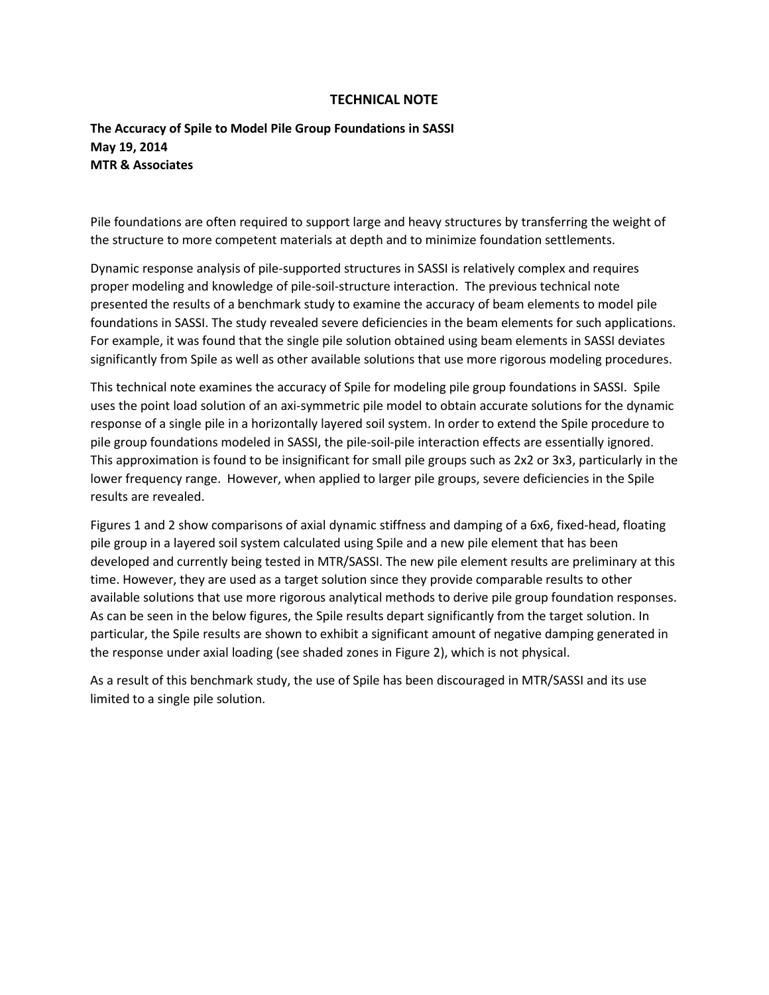## **TECHNICAL NOTE**

## **The Accuracy of Spile to Model Pile Group Foundations in SASSI May 19, 2014 MTR & Associates**

Pile foundations are often required to support large and heavy structures by transferring the weight of the structure to more competent materials at depth and to minimize foundation settlements.

Dynamic response analysis of pile-supported structures in SASSI is relatively complex and requires proper modeling and knowledge of pile-soil-structure interaction. The previous technical note presented the results of a benchmark study to examine the accuracy of beam elements to model pile foundations in SASSI. The study revealed severe deficiencies in the beam elements for such applications. For example, it was found that the single pile solution obtained using beam elements in SASSI deviates significantly from Spile as well as other available solutions that use more rigorous modeling procedures.

This technical note examines the accuracy of Spile for modeling pile group foundations in SASSI. Spile uses the point load solution of an axi-symmetric pile model to obtain accurate solutions for the dynamic response of a single pile in a horizontally layered soil system. In order to extend the Spile procedure to pile group foundations modeled in SASSI, the pile-soil-pile interaction effects are essentially ignored. This approximation is found to be insignificant for small pile groups such as 2x2 or 3x3, particularly in the lower frequency range. However, when applied to larger pile groups, severe deficiencies in the Spile results are revealed.

Figures 1 and 2 show comparisons of axial dynamic stiffness and damping of a 6x6, fixed-head, floating pile group in a layered soil system calculated using Spile and a new pile element that has been developed and currently being tested in MTR/SASSI. The new pile element results are preliminary at this time. However, they are used as a target solution since they provide comparable results to other available solutions that use more rigorous analytical methods to derive pile group foundation responses. As can be seen in the below figures, the Spile results depart significantly from the target solution. In particular, the Spile results are shown to exhibit a significant amount of negative damping generated in the response under axial loading (see shaded zones in Figure 2), which is not physical.

As a result of this benchmark study, the use of Spile has been discouraged in MTR/SASSI and its use limited to a single pile solution.